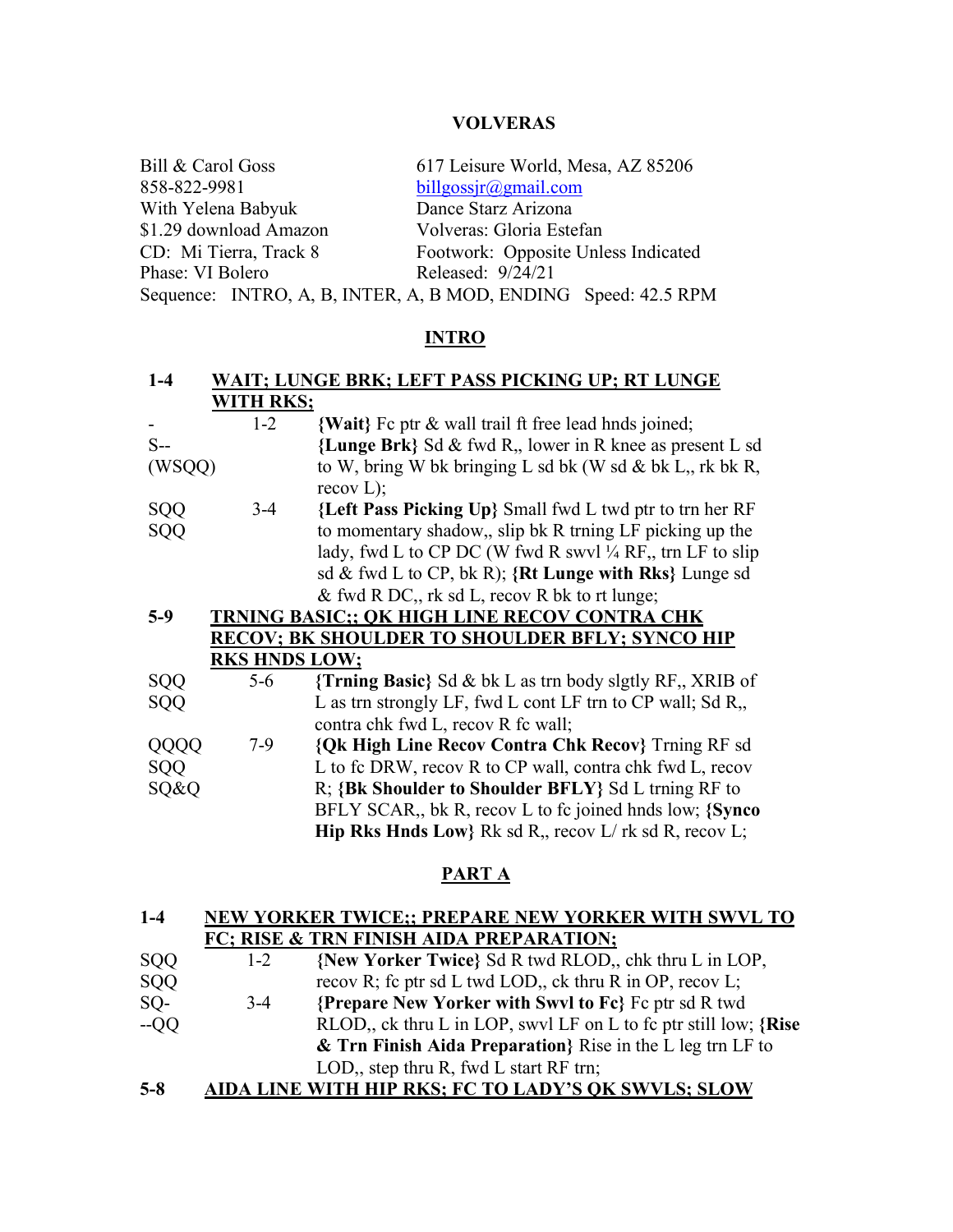| Bill & Carol Goss      | 617 Leisure World, Mesa, AZ 85206                              |  |  |
|------------------------|----------------------------------------------------------------|--|--|
| 858-822-9981           | billgossir@gmail.com                                           |  |  |
| With Yelena Babyuk     | Dance Starz Arizona                                            |  |  |
| \$1.29 download Amazon | Volveras: Gloria Estefan                                       |  |  |
| CD: Mi Tierra, Track 8 | Footwork: Opposite Unless Indicated                            |  |  |
| Phase: VI Bolero       | Released: 9/24/21                                              |  |  |
|                        | Sequence: INTRO, A, B, INTER, A, B MOD, ENDING Speed: 42.5 RPM |  |  |

# **INTRO**

| $1-4$  |                      | WAIT; LUNGE BRK; LEFT PASS PICKING UP; RT LUNGE                       |
|--------|----------------------|-----------------------------------------------------------------------|
|        | <b>WITH RKS;</b>     |                                                                       |
|        | $1 - 2$              | {Wait} Fc ptr & wall trail ft free lead hnds joined;                  |
| $S-$   |                      | {Lunge Brk} Sd & fwd R, lower in R knee as present L sd               |
| (WSQQ) |                      | to W, bring W bk bringing L sd bk (W sd & bk L, rk bk R,<br>recov L); |
| SQQ    | $3-4$                | {Left Pass Picking Up} Small fwd L twd ptr to trn her RF              |
| SQQ    |                      | to momentary shadow,, slip bk R trning LF picking up the              |
|        |                      | lady, fwd L to CP DC (W fwd R swyl $\frac{1}{4}$ RF, trn LF to slip   |
|        |                      | sd & fwd L to CP, bk R); ${Rt$ Lunge with Rks} Lunge sd               |
|        |                      | & fwd R DC, rk sd L, recov R bk to rt lunge;                          |
| $5-9$  |                      | TRNING BASIC;; OK HIGH LINE RECOV CONTRA CHK                          |
|        |                      | <b>RECOV; BK SHOULDER TO SHOULDER BFLY; SYNCO HIP</b>                 |
|        | <b>RKS HNDS LOW;</b> |                                                                       |
| SQQ    | $5 - 6$              | {Trning Basic} Sd & bk L as trn body slgtly RF,, XRIB of              |
| SQQ    |                      | L as trn strongly LF, fwd L cont LF trn to CP wall; Sd R,             |
|        |                      | contra chk fwd L, recov R fc wall;                                    |
| QQQQ   | $7-9$                | <b>{Qk High Line Recov Contra Chk Recov} Trning RF sd</b>             |
| SQQ    |                      | L to fc DRW, recov R to CP wall, contra chk fwd L, recov              |
| SQ&Q   |                      | R; {Bk Shoulder to Shoulder BFLY} Sd L trning RF to                   |
|        |                      | BFLY SCAR,, bk R, recov L to fc joined hnds low; {Synco}              |
|        |                      | <b>Hip Rks Hnds Low</b> } Rk sd R, recov $L/rk$ sd R, recov L;        |

# **PART A**

| $1-4$ | NEW YORKER TWICE;; PREPARE NEW YORKER WITH SWVL TO |
|-------|----------------------------------------------------|
|       | FC; RISE & TRN FINISH AIDA PREPARATION;            |

- SQQ SQQ 1-2 **{New Yorker Twice}** Sd R twd RLOD,, chk thru L in LOP, recov R; fc ptr sd L twd LOD,, ck thru R in OP, recov L; SQ- --QQ 3-4 **{Prepare New Yorker with Swvl to Fc}** Fc ptr sd R twd RLOD,, ck thru L in LOP, swvl LF on L to fc ptr still low; **{Rise & Trn Finish Aida Preparation}** Rise in the L leg trn LF to LOD,, step thru R, fwd L start RF trn;
- **5-8 AIDA LINE WITH HIP RKS; FC TO LADY'S QK SWVLS; SLOW**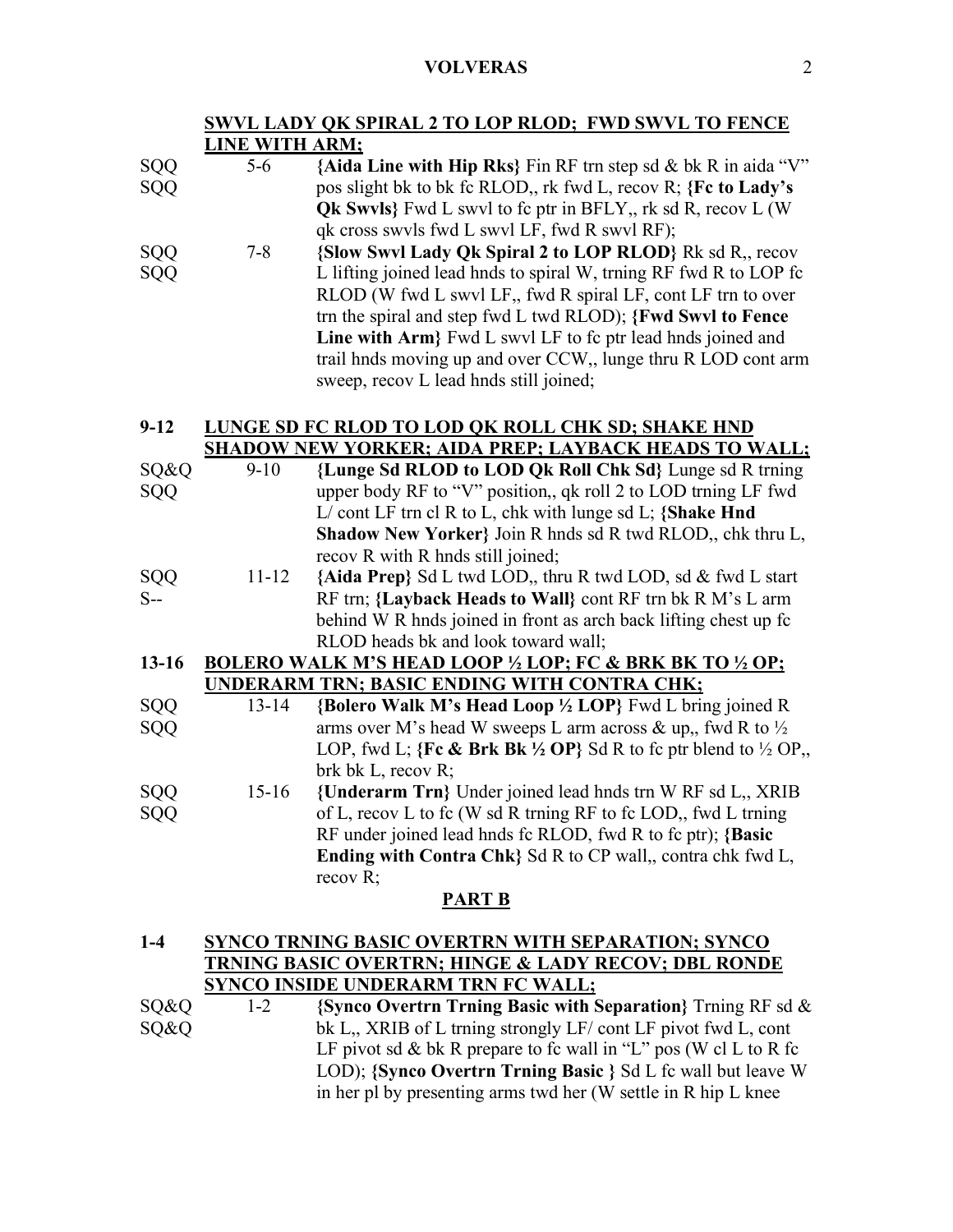# **SWVL LADY QK SPIRAL 2 TO LOP RLOD; FWD SWVL TO FENCE LINE WITH ARM;**

| SQQ      | $5-6$   | {Aida Line with Hip Rks} Fin RF trn step sd & bk R in aida "V"     |
|----------|---------|--------------------------------------------------------------------|
| SQQ      |         | pos slight bk to bk fc RLOD, rk fwd L, recov R; {Fc to Lady's      |
|          |         | <b>Qk Swyls</b> Fwd L swyl to fc ptr in BFLY, rk sd R, recov L (W) |
|          |         | qk cross swyls fwd L swyl LF, fwd R swyl RF);                      |
| SQQ      | $7 - 8$ | {Slow Swyl Lady Qk Spiral 2 to LOP RLOD} Rk sd R, recov            |
| SQQ      |         | L lifting joined lead hnds to spiral W, trning RF fwd R to LOP fc  |
|          |         | RLOD (W fwd L swyl LF,, fwd R spiral LF, cont LF trn to over       |
|          |         | trn the spiral and step fwd L twd RLOD); {Fwd Swyl to Fence        |
|          |         | Line with Arm Fwd L swyl LF to fc ptr lead hnds joined and         |
|          |         | trail hnds moving up and over CCW,, lunge thru R LOD cont arm      |
|          |         | sweep, recov L lead hnds still joined;                             |
|          |         |                                                                    |
| $9 - 12$ |         | LUNGE SD FC RLOD TO LOD OK ROLL CHK SD; SHAKE HND                  |
|          |         | <b>SHADOW NEW YORKER: AIDA PREP: LAYBACK HEADS TO WALL:</b>        |

|            |           | <u>SHADO W IND WINNER, AIDA I NEI , EATDACH HEADS TO WALLI, </u>                     |
|------------|-----------|--------------------------------------------------------------------------------------|
| SQ&Q       | $9-10$    | {Lunge Sd RLOD to LOD Qk Roll Chk Sd} Lunge sd R trning                              |
| SQQ        |           | upper body RF to "V" position,, qk roll 2 to LOD trning LF fwd                       |
|            |           | $L/$ cont LF trn cl R to L, chk with lunge sd L; {Shake Hnd                          |
|            |           | Shadow New Yorker} Join R hnds sd R twd RLOD,, chk thru L,                           |
|            |           | recov R with R hnds still joined;                                                    |
|            | $11 - 12$ | {Aida Prep} Sd L twd LOD,, thru R twd LOD, sd & fwd L start                          |
| SQQ<br>S-- |           | RF trn; {Layback Heads to Wall} cont RF trn bk R M's L arm                           |
|            |           | behind W R hnds joined in front as arch back lifting chest up fc                     |
|            |           | RLOD heads bk and look toward wall;                                                  |
| $13 - 16$  |           | <b>BOLERO WALK M'S HEAD LOOP 1/2 LOP; FC &amp; BRK BK TO 1/2 OP;</b>                 |
|            |           | UNDERARM TRN; BASIC ENDING WITH CONTRA CHK;                                          |
| SQQ        | $13 - 14$ | {Bolero Walk M's Head Loop 1/2 LOP} Fwd L bring joined R                             |
| SQQ        |           | arms over M's head W sweeps L arm across & up., fwd R to $\frac{1}{2}$               |
|            |           | LOP, fwd L; {Fe & Brk Bk $\frac{1}{2}$ OP} Sd R to fc ptr blend to $\frac{1}{2}$ OP, |
|            |           | brk bk L, recov R;                                                                   |
| SQQ        | $15-16$   | {Underarm Trn} Under joined lead hnds trn W RF sd L,, XRIB                           |
| SQQ        |           | of L, recov L to fc (W sd R trning RF to fc LOD,, fwd L trning                       |
|            |           | RF under joined lead hnds fc RLOD, fwd R to fc ptr); {Basic                          |
|            |           | Ending with Contra Chk} Sd R to CP wall,, contra chk fwd L,                          |
|            |           | recov $R$ ;                                                                          |

### **PART B**

# **1-4 SYNCO TRNING BASIC OVERTRN WITH SEPARATION; SYNCO TRNING BASIC OVERTRN; HINGE & LADY RECOV; DBL RONDE SYNCO INSIDE UNDERARM TRN FC WALL;**

| S0&0 | $1 - 2$ | {Synco Overtrn Trning Basic with Separation} Trning RF sd $\&$   |
|------|---------|------------------------------------------------------------------|
| S0&0 |         | bk L, XRIB of L trning strongly LF/ cont LF pivot fwd L, cont    |
|      |         | LF pivot sd & bk R prepare to fc wall in "L" pos (W cl L to R fc |
|      |         | LOD); {Synco Overtrn Trning Basic } Sd L fc wall but leave W     |
|      |         | in her pl by presenting arms twd her (W settle in R hip L knee   |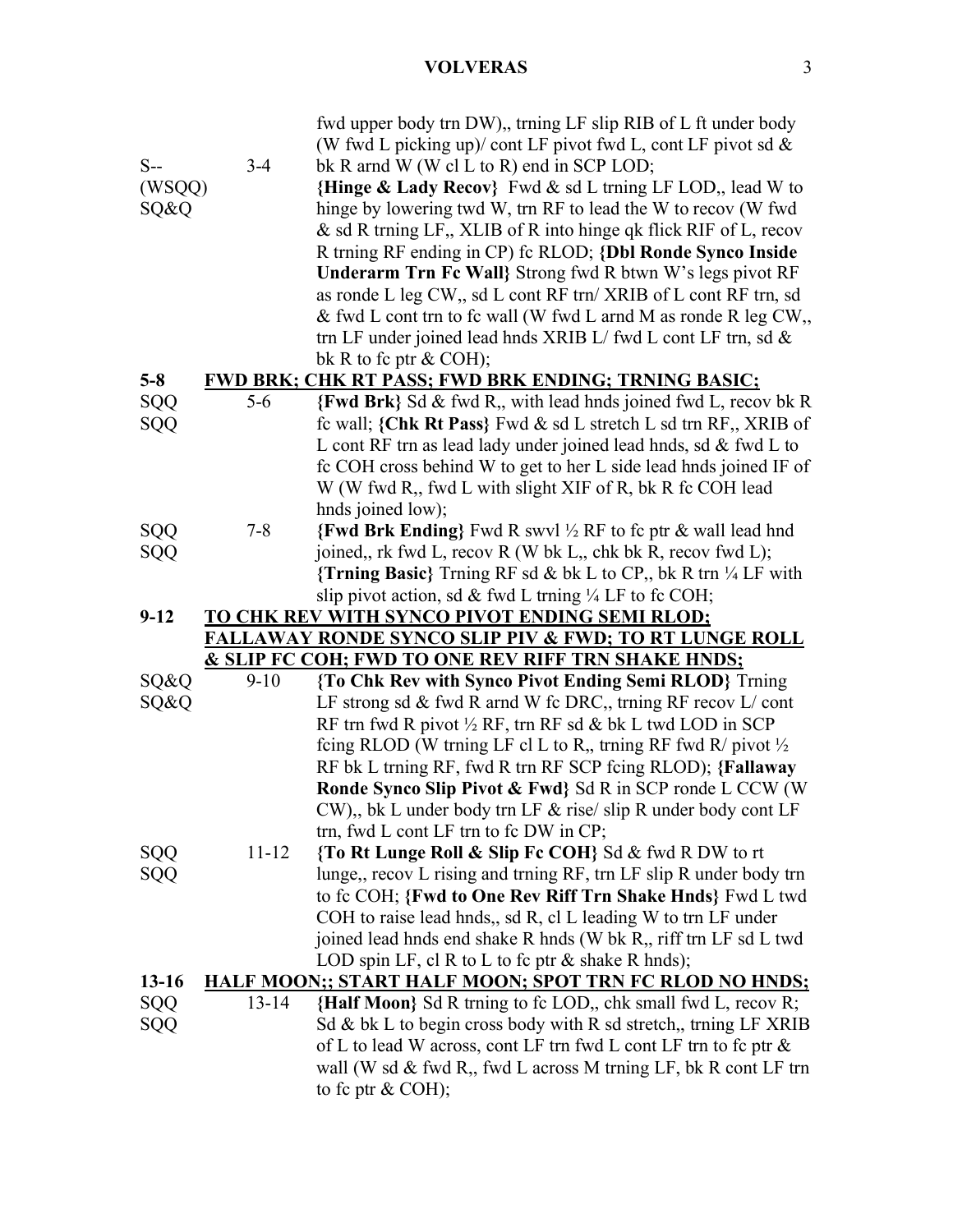|            |           | fwd upper body trn DW),, trning LF slip RIB of L ft under body            |
|------------|-----------|---------------------------------------------------------------------------|
|            |           | (W fwd L picking up)/ cont LF pivot fwd L, cont LF pivot sd $\&$          |
| $S-$       | $3-4$     | bk R arnd W (W cl L to R) end in SCP LOD;                                 |
| (WSQQ)     |           | {Hinge & Lady Recov} Fwd & sd L trning LF LOD,, lead W to                 |
| SQ&Q       |           | hinge by lowering twd W, trn RF to lead the W to recov (W fwd             |
|            |           | & sd R trning LF,, XLIB of R into hinge qk flick RIF of L, recov          |
|            |           | R trning RF ending in CP) fc RLOD; {Dbl Ronde Synco Inside                |
|            |           | Underarm Trn Fc Wall Strong fwd R btwn W's legs pivot RF                  |
|            |           | as ronde L leg CW,, sd L cont RF trn/ XRIB of L cont RF trn, sd           |
|            |           | & fwd L cont trn to fc wall (W fwd L arnd M as ronde R leg CW,            |
|            |           | trn LF under joined lead hnds XRIB L/ fwd L cont LF trn, sd $\&$          |
|            |           |                                                                           |
|            |           | bk R to fc ptr $& COH$ ;                                                  |
| $5 - 8$    | $5-6$     | <b>FWD BRK; CHK RT PASS; FWD BRK ENDING; TRNING BASIC;</b>                |
| SQQ        |           | {Fwd Brk} Sd & fwd R,, with lead hnds joined fwd L, recov bk R            |
| SQQ        |           | fc wall; {Chk Rt Pass} Fwd & sd L stretch L sd trn RF,, XRIB of           |
|            |           | L cont RF trn as lead lady under joined lead hnds, sd $\&$ fwd L to       |
|            |           | fc COH cross behind W to get to her L side lead hnds joined IF of         |
|            |           | W (W fwd R,, fwd L with slight XIF of R, bk R fc COH lead                 |
|            |           | hnds joined low);                                                         |
| SQQ        | $7 - 8$   | <b>{Fwd Brk Ending}</b> Fwd R swvl ½ RF to fc ptr & wall lead hnd         |
| SQQ        |           | joined,, rk fwd L, recov R (W bk L,, chk bk R, recov fwd L);              |
|            |           | {Trning Basic} Trning RF sd & bk L to CP,, bk R trn $\frac{1}{4}$ LF with |
|            |           | slip pivot action, sd & fwd L trning $\frac{1}{4}$ LF to fc COH;          |
| $9 - 12$   |           | TO CHK REV WITH SYNCO PIVOT ENDING SEMI RLOD;                             |
|            |           | <b>FALLAWAY RONDE SYNCO SLIP PIV &amp; FWD; TO RT LUNGE ROLL</b>          |
|            |           | <u>&amp; SLIP FC COH; FWD TO ONE REV RIFF TRN SHAKE HNDS;</u>             |
| SQ&Q       | $9-10$    | {To Chk Rev with Synco Pivot Ending Semi RLOD} Trning                     |
| SQ&Q       |           | LF strong sd & fwd R arnd W fc DRC, trning RF recov $L$ cont              |
|            |           | RF trn fwd R pivot $\frac{1}{2}$ RF, trn RF sd & bk L twd LOD in SCP      |
|            |           | feing RLOD (W trning LF cl L to R, trning RF fwd R/ pivot $\frac{1}{2}$   |
|            |           | RF bk L trning RF, fwd R trn RF SCP feing RLOD); {Fallaway                |
|            |           | Ronde Synco Slip Pivot & Fwd} Sd R in SCP ronde L CCW (W                  |
|            |           | CW),, bk L under body trn LF & rise/ slip R under body cont LF            |
|            |           | trn, fwd L cont LF trn to fc DW in CP;                                    |
| SQQ        | $11 - 12$ | {To Rt Lunge Roll & Slip Fc COH} Sd & fwd R DW to rt                      |
| <b>SQQ</b> |           | lunge,, recov L rising and trning RF, trn LF slip R under body trn        |
|            |           | to fc COH; {Fwd to One Rev Riff Trn Shake Hnds} Fwd L twd                 |
|            |           | COH to raise lead hnds,, sd R, cl L leading W to trn LF under             |
|            |           | joined lead hnds end shake R hnds (W bk R,, riff trn LF sd L twd          |
|            |           | LOD spin LF, cl R to L to fc ptr $\&$ shake R hnds);                      |
| $13 - 16$  |           | <b>HALF MOON;; START HALF MOON; SPOT TRN FC RLOD NO HNDS;</b>             |
| <b>SQQ</b> | $13 - 14$ | {Half Moon} Sd R trning to fc LOD,, chk small fwd L, recov R;             |
| SQQ        |           | Sd & bk L to begin cross body with R sd stretch,, trning LF XRIB          |
|            |           | of L to lead W across, cont LF trn fwd L cont LF trn to fc ptr &          |
|            |           | wall (W sd & fwd R,, fwd L across M trning LF, bk R cont LF trn           |
|            |           | to fc ptr & COH);                                                         |